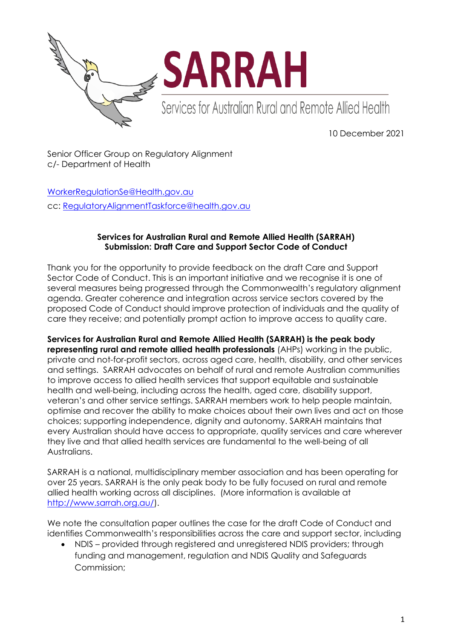

10 December 2021

Senior Officer Group on Regulatory Alignment c/- Department of Health

[WorkerRegulationSe@Health.gov.au](mailto:WorkerRegulationSe@Health.gov.au) cc: [RegulatoryAlignmentTaskforce@health.gov.au](mailto:RegulatoryAlignmentTaskforce@health.gov.au)

## **Services for Australian Rural and Remote Allied Health (SARRAH) Submission: Draft Care and Support Sector Code of Conduct**

Thank you for the opportunity to provide feedback on the draft Care and Support Sector Code of Conduct. This is an important initiative and we recognise it is one of several measures being progressed through the Commonwealth's regulatory alignment agenda. Greater coherence and integration across service sectors covered by the proposed Code of Conduct should improve protection of individuals and the quality of care they receive; and potentially prompt action to improve access to quality care.

**Services for Australian Rural and Remote Allied Health (SARRAH) is the peak body representing rural and remote allied health professionals** (AHPs) working in the public,

private and not-for-profit sectors, across aged care, health, disability, and other services and settings. SARRAH advocates on behalf of rural and remote Australian communities to improve access to allied health services that support equitable and sustainable health and well-being, including across the health, aged care, disability support, veteran's and other service settings. SARRAH members work to help people maintain, optimise and recover the ability to make choices about their own lives and act on those choices; supporting independence, dignity and autonomy. SARRAH maintains that every Australian should have access to appropriate, quality services and care wherever they live and that allied health services are fundamental to the well-being of all Australians.

SARRAH is a national, multidisciplinary member association and has been operating for over 25 years. SARRAH is the only peak body to be fully focused on rural and remote allied health working across all disciplines. (More information is available at [http://www.sarrah.org.au/\)](http://www.sarrah.org.au/).

We note the consultation paper outlines the case for the draft Code of Conduct and identifies Commonwealth's responsibilities across the care and support sector, including

 NDIS – provided through registered and unregistered NDIS providers; through funding and management, regulation and NDIS Quality and Safeguards Commission;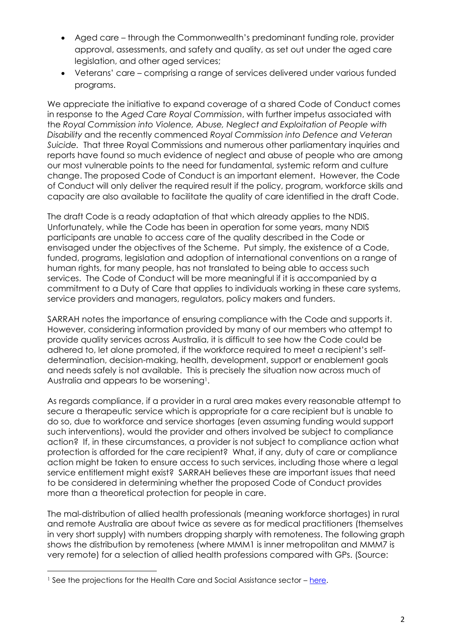- Aged care through the Commonwealth's predominant funding role, provider approval, assessments, and safety and quality, as set out under the aged care legislation, and other aged services;
- Veterans' care comprising a range of services delivered under various funded programs.

We appreciate the initiative to expand coverage of a shared Code of Conduct comes in response to the *Aged Care Royal Commission*, with further impetus associated with the *Royal Commission into Violence, Abuse, Neglect and Exploitation of People with Disability* and the recently commenced *Royal Commission into Defence and Veteran Suicide.* That three Royal Commissions and numerous other parliamentary inquiries and reports have found so much evidence of neglect and abuse of people who are among our most vulnerable points to the need for fundamental, systemic reform and culture change. The proposed Code of Conduct is an important element. However, the Code of Conduct will only deliver the required result if the policy, program, workforce skills and capacity are also available to facilitate the quality of care identified in the draft Code.

The draft Code is a ready adaptation of that which already applies to the NDIS. Unfortunately, while the Code has been in operation for some years, many NDIS participants are unable to access care of the quality described in the Code or envisaged under the objectives of the Scheme. Put simply, the existence of a Code, funded, programs, legislation and adoption of international conventions on a range of human rights, for many people, has not translated to being able to access such services. The Code of Conduct will be more meaningful if it is accompanied by a commitment to a Duty of Care that applies to individuals working in these care systems, service providers and managers, regulators, policy makers and funders.

SARRAH notes the importance of ensuring compliance with the Code and supports it. However, considering information provided by many of our members who attempt to provide quality services across Australia, it is difficult to see how the Code could be adhered to, let alone promoted, if the workforce required to meet a recipient's selfdetermination, decision-making, health, development, support or enablement goals and needs safely is not available. This is precisely the situation now across much of Australia and appears to be worsening<sup>1</sup>.

As regards compliance, if a provider in a rural area makes every reasonable attempt to secure a therapeutic service which is appropriate for a care recipient but is unable to do so, due to workforce and service shortages (even assuming funding would support such interventions), would the provider and others involved be subject to compliance action? If, in these circumstances, a provider is not subject to compliance action what protection is afforded for the care recipient? What, if any, duty of care or compliance action might be taken to ensure access to such services, including those where a legal service entitlement might exist? SARRAH believes these are important issues that need to be considered in determining whether the proposed Code of Conduct provides more than a theoretical protection for people in care.

The mal-distribution of allied health professionals (meaning workforce shortages) in rural and remote Australia are about twice as severe as for medical practitioners (themselves in very short supply) with numbers dropping sharply with remoteness. The following graph shows the distribution by remoteness (where MMM1 is inner metropolitan and MMM7 is very remote) for a selection of allied health professions compared with GPs. (Source:

 $\overline{\phantom{a}}$ 

<sup>&</sup>lt;sup>1</sup> See the projections for the Health Care and Social Assistance sector – [here.](https://lmip.gov.au/PortalFile.axd?FieldID=2787733&.docx)